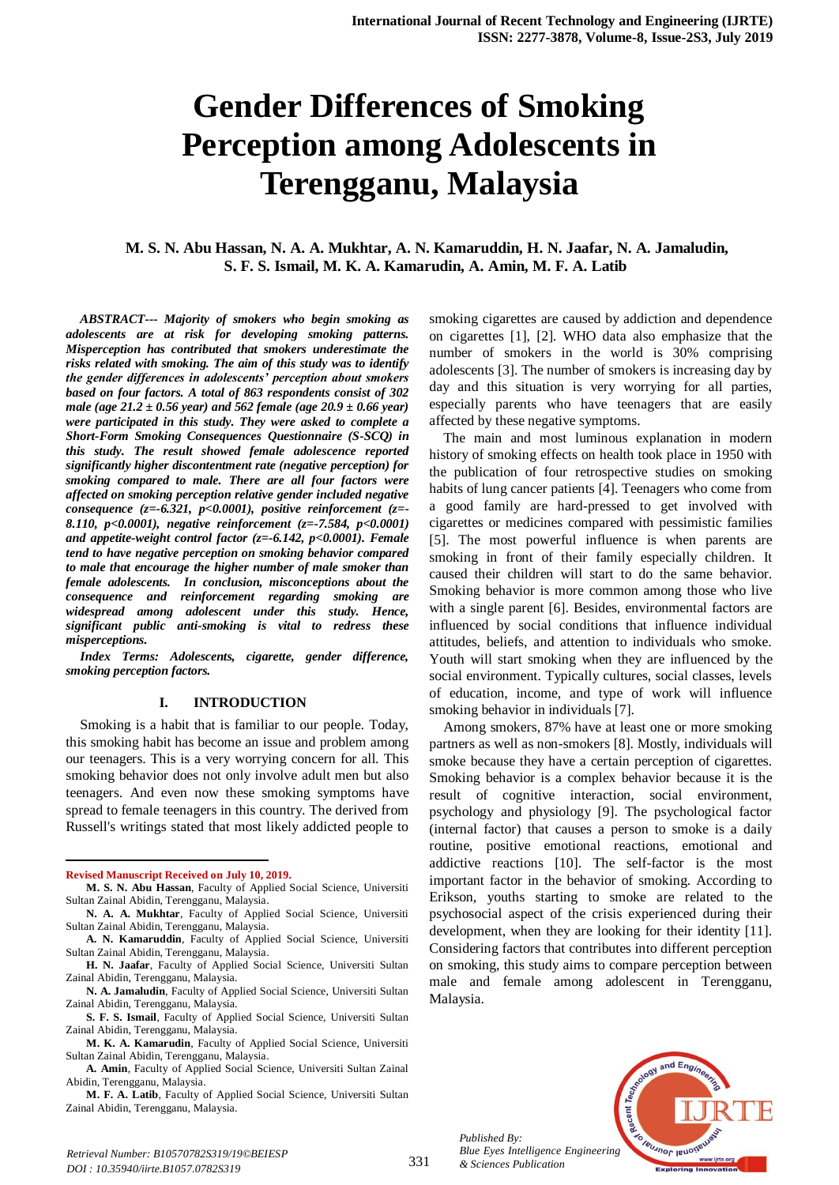# **Gender Differences of Smoking Perception among Adolescents in Terengganu, Malaysia**

# **M. S. N. Abu Hassan, N. A. A. Mukhtar, A. N. Kamaruddin, H. N. Jaafar, N. A. Jamaludin, S. F. S. Ismail, M. K. A. Kamarudin, A. Amin, M. F. A. Latib**

*ABSTRACT--- Majority of smokers who begin smoking as adolescents are at risk for developing smoking patterns. Misperception has contributed that smokers underestimate the risks related with smoking. The aim of this study was to identify the gender differences in adolescents' perception about smokers based on four factors. A total of 863 respondents consist of 302 male (age 21.2 ± 0.56 year) and 562 female (age 20.9 ± 0.66 year) were participated in this study. They were asked to complete a Short-Form Smoking Consequences Questionnaire (S-SCQ) in this study. The result showed female adolescence reported significantly higher discontentment rate (negative perception) for smoking compared to male. There are all four factors were affected on smoking perception relative gender included negative consequence (z=-6.321, p<0.0001), positive reinforcement (z=- 8.110, p<0.0001), negative reinforcement (z=-7.584, p<0.0001) and appetite-weight control factor (z=-6.142, p<0.0001). Female tend to have negative perception on smoking behavior compared to male that encourage the higher number of male smoker than female adolescents. In conclusion, misconceptions about the consequence and reinforcement regarding smoking are widespread among adolescent under this study. Hence, significant public anti-smoking is vital to redress these misperceptions.*

*Index Terms: Adolescents, cigarette, gender difference, smoking perception factors.*

#### **I. INTRODUCTION**

Smoking is a habit that is familiar to our people. Today, this smoking habit has become an issue and problem among our teenagers. This is a very worrying concern for all. This smoking behavior does not only involve adult men but also teenagers. And even now these smoking symptoms have spread to female teenagers in this country. The derived from Russell's writings stated that most likely addicted people to

**Revised Manuscript Received on July 10, 2019.**

 $\ddot{\phantom{a}}$ 

**N. A. Jamaludin**, Faculty of Applied Social Science, Universiti Sultan Zainal Abidin, Terengganu, Malaysia.

**S. F. S. Ismail**, Faculty of Applied Social Science, Universiti Sultan Zainal Abidin, Terengganu, Malaysia.

**M. F. A. Latib**, Faculty of Applied Social Science, Universiti Sultan Zainal Abidin, Terengganu, Malaysia.

smoking cigarettes are caused by addiction and dependence on cigarettes [1], [2]. WHO data also emphasize that the number of smokers in the world is 30% comprising adolescents [3]. The number of smokers is increasing day by day and this situation is very worrying for all parties, especially parents who have teenagers that are easily affected by these negative symptoms.

The main and most luminous explanation in modern history of smoking effects on health took place in 1950 with the publication of four retrospective studies on smoking habits of lung cancer patients [4]. Teenagers who come from a good family are hard-pressed to get involved with cigarettes or medicines compared with pessimistic families [5]. The most powerful influence is when parents are smoking in front of their family especially children. It caused their children will start to do the same behavior. Smoking behavior is more common among those who live with a single parent [6]. Besides, environmental factors are influenced by social conditions that influence individual attitudes, beliefs, and attention to individuals who smoke. Youth will start smoking when they are influenced by the social environment. Typically cultures, social classes, levels of education, income, and type of work will influence smoking behavior in individuals [7].

Among smokers, 87% have at least one or more smoking partners as well as non-smokers [8]. Mostly, individuals will smoke because they have a certain perception of cigarettes. Smoking behavior is a complex behavior because it is the result of cognitive interaction, social environment, psychology and physiology [9]. The psychological factor (internal factor) that causes a person to smoke is a daily routine, positive emotional reactions, emotional and addictive reactions [10]. The self-factor is the most important factor in the behavior of smoking. According to Erikson, youths starting to smoke are related to the psychosocial aspect of the crisis experienced during their development, when they are looking for their identity [11]. Considering factors that contributes into different perception on smoking, this study aims to compare perception between male and female among adolescent in Terengganu, Malaysia.



*Published By: Blue Eyes Intelligence Engineering & Sciences Publication* 

**M. S. N. Abu Hassan**, Faculty of Applied Social Science, Universiti Sultan Zainal Abidin, Terengganu, Malaysia.

**N. A. A. Mukhtar**, Faculty of Applied Social Science, Universiti Sultan Zainal Abidin, Terengganu, Malaysia.

**A. N. Kamaruddin**, Faculty of Applied Social Science, Universiti Sultan Zainal Abidin, Terengganu, Malaysia.

**H. N. Jaafar**, Faculty of Applied Social Science, Universiti Sultan Zainal Abidin, Terengganu, Malaysia.

**M. K. A. Kamarudin**, Faculty of Applied Social Science, Universiti Sultan Zainal Abidin, Terengganu, Malaysia.

**A. Amin**, Faculty of Applied Social Science, Universiti Sultan Zainal Abidin, Terengganu, Malaysia.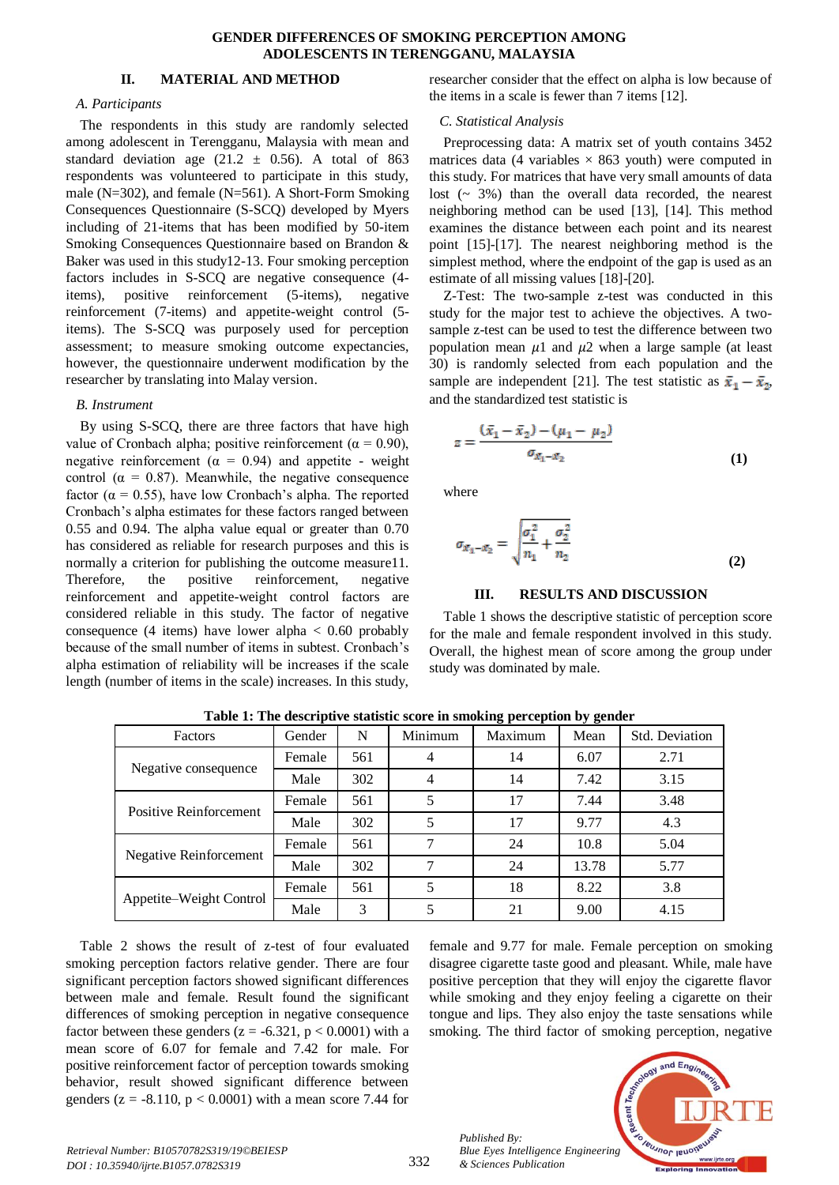#### **GENDER DIFFERENCES OF SMOKING PERCEPTION AMONG ADOLESCENTS IN TERENGGANU, MALAYSIA**

#### **II. MATERIAL AND METHOD**

#### *A. Participants*

The respondents in this study are randomly selected among adolescent in Terengganu, Malaysia with mean and standard deviation age (21.2  $\pm$  0.56). A total of 863 respondents was volunteered to participate in this study, male (N=302), and female (N=561). A Short-Form Smoking Consequences Questionnaire (S-SCQ) developed by Myers including of 21-items that has been modified by 50-item Smoking Consequences Questionnaire based on Brandon & Baker was used in this study12-13. Four smoking perception factors includes in S-SCQ are negative consequence (4 items), positive reinforcement (5-items), negative reinforcement (7-items) and appetite-weight control (5 items). The S-SCQ was purposely used for perception assessment; to measure smoking outcome expectancies, however, the questionnaire underwent modification by the researcher by translating into Malay version.

#### *B. Instrument*

By using S-SCQ, there are three factors that have high value of Cronbach alpha; positive reinforcement ( $\alpha = 0.90$ ), negative reinforcement ( $\alpha = 0.94$ ) and appetite - weight control ( $\alpha = 0.87$ ). Meanwhile, the negative consequence factor ( $\alpha = 0.55$ ), have low Cronbach's alpha. The reported Cronbach's alpha estimates for these factors ranged between 0.55 and 0.94. The alpha value equal or greater than 0.70 has considered as reliable for research purposes and this is normally a criterion for publishing the outcome measure11. Therefore, the positive reinforcement, negative reinforcement and appetite-weight control factors are considered reliable in this study. The factor of negative consequence (4 items) have lower alpha  $< 0.60$  probably because of the small number of items in subtest. Cronbach's alpha estimation of reliability will be increases if the scale length (number of items in the scale) increases. In this study,

researcher consider that the effect on alpha is low because of the items in a scale is fewer than 7 items [12].

#### *C. Statistical Analysis*

Preprocessing data: A matrix set of youth contains 3452 matrices data (4 variables  $\times$  863 youth) were computed in this study. For matrices that have very small amounts of data lost  $($   $\sim$  3%) than the overall data recorded, the nearest neighboring method can be used [13], [14]. This method examines the distance between each point and its nearest point [15]-[17]. The nearest neighboring method is the simplest method, where the endpoint of the gap is used as an estimate of all missing values [18]-[20].

Z-Test: The two-sample z-test was conducted in this study for the major test to achieve the objectives. A twosample z-test can be used to test the difference between two population mean  $\mu$ 1 and  $\mu$ 2 when a large sample (at least 30) is randomly selected from each population and the sample are independent [21]. The test statistic as  $\bar{x}_1 - \bar{x}_2$ , and the standardized test statistic is

$$
z = \frac{(\bar{x}_1 - \bar{x}_2) - (\mu_1 - \mu_2)}{\sigma_{\bar{x}_1 - \bar{x}_2}}
$$
(1)

where

$$
\sigma_{x_1 - x_2} = \sqrt{\frac{\sigma_1^2}{n_1} + \frac{\sigma_2^2}{n_2}}
$$
\n(2)

#### **III. RESULTS AND DISCUSSION**

Table 1 shows the descriptive statistic of perception score for the male and female respondent involved in this study. Overall, the highest mean of score among the group under study was dominated by male.

| Factors                       | Gender | N   | Minimum | Maximum | Mean  | Std. Deviation |
|-------------------------------|--------|-----|---------|---------|-------|----------------|
| Negative consequence          | Female | 561 | 4       | 14      | 6.07  | 2.71           |
|                               | Male   | 302 | 4       | 14      | 7.42  | 3.15           |
| Positive Reinforcement        | Female | 561 | 5       | 17      | 7.44  | 3.48           |
|                               | Male   | 302 | 5       | 17      | 9.77  | 4.3            |
| <b>Negative Reinforcement</b> | Female | 561 |         | 24      | 10.8  | 5.04           |
|                               | Male   | 302 | 7       | 24      | 13.78 | 5.77           |
| Appetite–Weight Control       | Female | 561 | 5       | 18      | 8.22  | 3.8            |
|                               | Male   | 3   | 5       | 21      | 9.00  | 4.15           |

**Table 1: The descriptive statistic score in smoking perception by gender**

Table 2 shows the result of z-test of four evaluated smoking perception factors relative gender. There are four significant perception factors showed significant differences between male and female. Result found the significant differences of smoking perception in negative consequence factor between these genders ( $z = -6.321$ ,  $p < 0.0001$ ) with a mean score of 6.07 for female and 7.42 for male. For positive reinforcement factor of perception towards smoking behavior, result showed significant difference between genders ( $z = -8.110$ ,  $p < 0.0001$ ) with a mean score 7.44 for

female and 9.77 for male. Female perception on smoking disagree cigarette taste good and pleasant. While, male have positive perception that they will enjoy the cigarette flavor while smoking and they enjoy feeling a cigarette on their tongue and lips. They also enjoy the taste sensations while smoking. The third factor of smoking perception, negative



332

*Published By:*

*& Sciences Publication*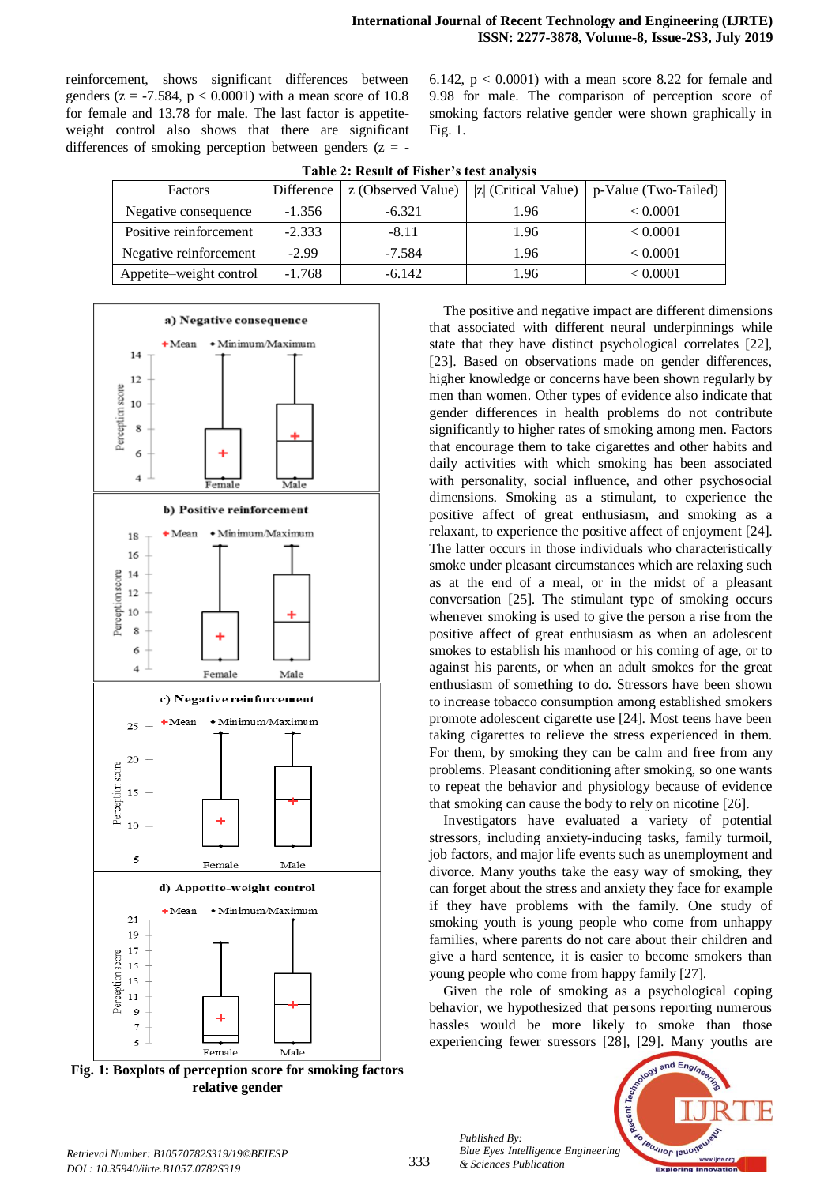reinforcement, shows significant differences between genders ( $z = -7.584$ ,  $p < 0.0001$ ) with a mean score of 10.8 for female and 13.78 for male. The last factor is appetiteweight control also shows that there are significant differences of smoking perception between genders  $(z = -1)$ 

6.142,  $p < 0.0001$ ) with a mean score 8.22 for female and 9.98 for male. The comparison of perception score of smoking factors relative gender were shown graphically in Fig. 1.

| Factors                 | Difference | z (Observed Value) | $ z $ (Critical Value) | p-Value (Two-Tailed) |  |  |  |  |  |
|-------------------------|------------|--------------------|------------------------|----------------------|--|--|--|--|--|
| Negative consequence    | $-1.356$   | $-6.321$           | 1.96                   | < 0.0001             |  |  |  |  |  |
| Positive reinforcement  | $-2.333$   | $-8.11$            | 1.96                   | < 0.0001             |  |  |  |  |  |
| Negative reinforcement  | $-2.99$    | $-7.584$           | 1.96                   | < 0.0001             |  |  |  |  |  |
| Appetite–weight control | $-1.768$   | $-6.142$           | 1.96                   | < 0.0001             |  |  |  |  |  |

**Table 2: Result of Fisher's test analysis**



**Fig. 1: Boxplots of perception score for smoking factors relative gender**

The positive and negative impact are different dimensions that associated with different neural underpinnings while state that they have distinct psychological correlates [22], [23]. Based on observations made on gender differences, higher knowledge or concerns have been shown regularly by men than women. Other types of evidence also indicate that gender differences in health problems do not contribute significantly to higher rates of smoking among men. Factors that encourage them to take cigarettes and other habits and daily activities with which smoking has been associated with personality, social influence, and other psychosocial dimensions. Smoking as a stimulant, to experience the positive affect of great enthusiasm, and smoking as a relaxant, to experience the positive affect of enjoyment [24]. The latter occurs in those individuals who characteristically smoke under pleasant circumstances which are relaxing such as at the end of a meal, or in the midst of a pleasant conversation [25]. The stimulant type of smoking occurs whenever smoking is used to give the person a rise from the positive affect of great enthusiasm as when an adolescent smokes to establish his manhood or his coming of age, or to against his parents, or when an adult smokes for the great enthusiasm of something to do. Stressors have been shown to increase tobacco consumption among established smokers promote adolescent cigarette use [24]. Most teens have been taking cigarettes to relieve the stress experienced in them. For them, by smoking they can be calm and free from any problems. Pleasant conditioning after smoking, so one wants to repeat the behavior and physiology because of evidence that smoking can cause the body to rely on nicotine [26].

Investigators have evaluated a variety of potential stressors, including anxiety-inducing tasks, family turmoil, job factors, and major life events such as unemployment and divorce. Many youths take the easy way of smoking, they can forget about the stress and anxiety they face for example if they have problems with the family. One study of smoking youth is young people who come from unhappy families, where parents do not care about their children and give a hard sentence, it is easier to become smokers than young people who come from happy family [27].

Given the role of smoking as a psychological coping behavior, we hypothesized that persons reporting numerous hassles would be more likely to smoke than those experiencing fewer stressors [28], [29]. Many youths are

*Published By: Blue Eyes Intelligence Engineering & Sciences Publication* 

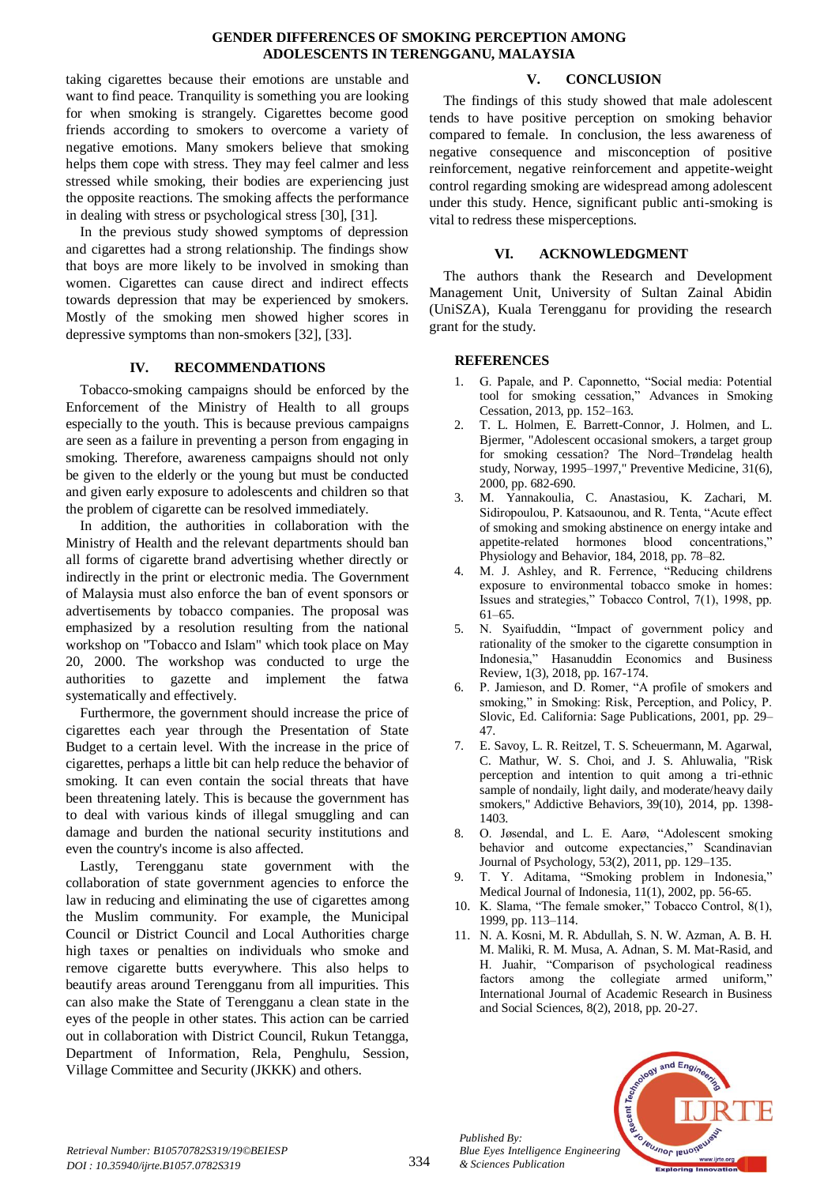#### **GENDER DIFFERENCES OF SMOKING PERCEPTION AMONG ADOLESCENTS IN TERENGGANU, MALAYSIA**

taking cigarettes because their emotions are unstable and want to find peace. Tranquility is something you are looking for when smoking is strangely. Cigarettes become good friends according to smokers to overcome a variety of negative emotions. Many smokers believe that smoking helps them cope with stress. They may feel calmer and less stressed while smoking, their bodies are experiencing just the opposite reactions. The smoking affects the performance in dealing with stress or psychological stress [30], [31].

In the previous study showed symptoms of depression and cigarettes had a strong relationship. The findings show that boys are more likely to be involved in smoking than women. Cigarettes can cause direct and indirect effects towards depression that may be experienced by smokers. Mostly of the smoking men showed higher scores in depressive symptoms than non-smokers [32], [33].

# **IV. RECOMMENDATIONS**

Tobacco-smoking campaigns should be enforced by the Enforcement of the Ministry of Health to all groups especially to the youth. This is because previous campaigns are seen as a failure in preventing a person from engaging in smoking. Therefore, awareness campaigns should not only be given to the elderly or the young but must be conducted and given early exposure to adolescents and children so that the problem of cigarette can be resolved immediately.

In addition, the authorities in collaboration with the Ministry of Health and the relevant departments should ban all forms of cigarette brand advertising whether directly or indirectly in the print or electronic media. The Government of Malaysia must also enforce the ban of event sponsors or advertisements by tobacco companies. The proposal was emphasized by a resolution resulting from the national workshop on "Tobacco and Islam" which took place on May 20, 2000. The workshop was conducted to urge the authorities to gazette and implement the fatwa systematically and effectively.

Furthermore, the government should increase the price of cigarettes each year through the Presentation of State Budget to a certain level. With the increase in the price of cigarettes, perhaps a little bit can help reduce the behavior of smoking. It can even contain the social threats that have been threatening lately. This is because the government has to deal with various kinds of illegal smuggling and can damage and burden the national security institutions and even the country's income is also affected.

Lastly, Terengganu state government with the collaboration of state government agencies to enforce the law in reducing and eliminating the use of cigarettes among the Muslim community. For example, the Municipal Council or District Council and Local Authorities charge high taxes or penalties on individuals who smoke and remove cigarette butts everywhere. This also helps to beautify areas around Terengganu from all impurities. This can also make the State of Terengganu a clean state in the eyes of the people in other states. This action can be carried out in collaboration with District Council, Rukun Tetangga, Department of Information, Rela, Penghulu, Session, Village Committee and Security (JKKK) and others.

# **V. CONCLUSION**

The findings of this study showed that male adolescent tends to have positive perception on smoking behavior compared to female. In conclusion, the less awareness of negative consequence and misconception of positive reinforcement, negative reinforcement and appetite-weight control regarding smoking are widespread among adolescent under this study. Hence, significant public anti-smoking is vital to redress these misperceptions.

# **VI. ACKNOWLEDGMENT**

The authors thank the Research and Development Management Unit, University of Sultan Zainal Abidin (UniSZA), Kuala Terengganu for providing the research grant for the study.

# **REFERENCES**

- 1. G. Papale, and P. Caponnetto, "Social media: Potential tool for smoking cessation," Advances in Smoking Cessation, 2013, pp. 152–163.
- 2. T. L. Holmen, E. Barrett-Connor, J. Holmen, and L. Bjermer, "Adolescent occasional smokers, a target group for smoking cessation? The Nord–Trøndelag health study, Norway, 1995–1997," Preventive Medicine, 31(6), 2000, pp. 682-690.
- 3. M. Yannakoulia, C. Anastasiou, K. Zachari, M. Sidiropoulou, P. Katsaounou, and R. Tenta, "Acute effect of smoking and smoking abstinence on energy intake and appetite-related hormones blood concentrations," Physiology and Behavior, 184, 2018, pp. 78–82.
- M. J. Ashley, and R. Ferrence, "Reducing childrens exposure to environmental tobacco smoke in homes: Issues and strategies," Tobacco Control, 7(1), 1998, pp. 61–65.
- 5. N. Syaifuddin, "Impact of government policy and rationality of the smoker to the cigarette consumption in Indonesia," Hasanuddin Economics and Business Review, 1(3), 2018, pp. 167-174.
- 6. P. Jamieson, and D. Romer, "A profile of smokers and smoking," in Smoking: Risk, Perception, and Policy, P. Slovic, Ed. California: Sage Publications, 2001, pp. 29– 47.
- 7. E. Savoy, L. R. Reitzel, T. S. Scheuermann, M. Agarwal, C. Mathur, W. S. Choi, and J. S. Ahluwalia, "Risk perception and intention to quit among a tri-ethnic sample of nondaily, light daily, and moderate/heavy daily smokers," Addictive Behaviors, 39(10), 2014, pp. 1398- 1403.
- 8. O. Jøsendal, and L. E. Aarø, "Adolescent smoking behavior and outcome expectancies," Scandinavian Journal of Psychology, 53(2), 2011, pp. 129–135.
- 9. T. Y. Aditama, "Smoking problem in Indonesia," Medical Journal of Indonesia, 11(1), 2002, pp. 56-65.
- 10. K. Slama, "The female smoker," Tobacco Control, 8(1), 1999, pp. 113–114.
- 11. N. A. Kosni, M. R. Abdullah, S. N. W. Azman, A. B. H. M. Maliki, R. M. Musa, A. Adnan, S. M. Mat-Rasid, and H. Juahir, "Comparison of psychological readiness factors among the collegiate armed uniform," International Journal of Academic Research in Business and Social Sciences, 8(2), 2018, pp. 20-27.



*Published By:*

*& Sciences Publication*